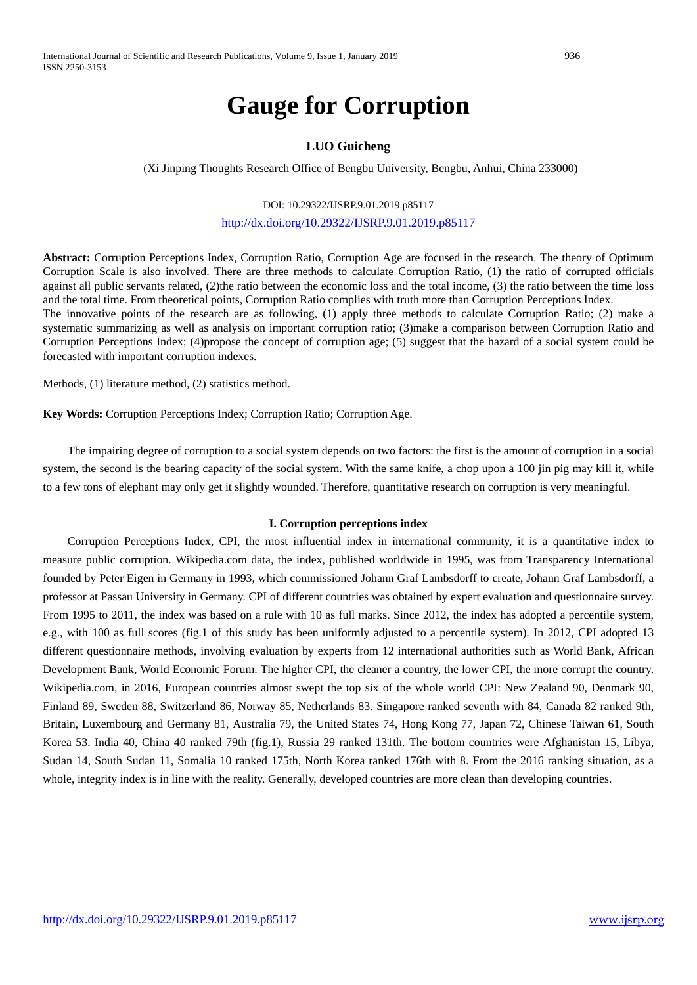# **Gauge for Corruption**

# **LUO Guicheng**

(Xi Jinping Thoughts Research Office of Bengbu University, Bengbu, Anhui, China 233000)

## DOI: 10.29322/IJSRP.9.01.2019.p85117

## <http://dx.doi.org/10.29322/IJSRP.9.01.2019.p85117>

**Abstract:** Corruption Perceptions Index, Corruption Ratio, Corruption Age are focused in the research. The theory of Optimum Corruption Scale is also involved. There are three methods to calculate Corruption Ratio, (1) the ratio of corrupted officials against all public servants related, (2)the ratio between the economic loss and the total income, (3) the ratio between the time loss and the total time. From theoretical points, Corruption Ratio complies with truth more than Corruption Perceptions Index. The innovative points of the research are as following, (1) apply three methods to calculate Corruption Ratio; (2) make a systematic summarizing as well as analysis on important corruption ratio; (3)make a comparison between Corruption Ratio and Corruption Perceptions Index; (4)propose the concept of corruption age; (5) suggest that the hazard of a social system could be forecasted with important corruption indexes.

Methods, (1) literature method, (2) statistics method.

**Key Words:** Corruption Perceptions Index; Corruption Ratio; Corruption Age.

The impairing degree of corruption to a social system depends on two factors: the first is the amount of corruption in a social system, the second is the bearing capacity of the social system. With the same knife, a chop upon a 100 jin pig may kill it, while to a few tons of elephant may only get it slightly wounded. Therefore, quantitative research on corruption is very meaningful.

## **I. Corruption perceptions index**

Corruption Perceptions Index, CPI, the most influential index in international community, it is a quantitative index to measure public corruption. Wikipedia.com data, the index, published worldwide in 1995, was from Transparency International founded by Peter Eigen in Germany in 1993, which commissioned Johann Graf Lambsdorff to create, Johann Graf Lambsdorff, a professor at Passau University in Germany. CPI of different countries was obtained by expert evaluation and questionnaire survey. From 1995 to 2011, the index was based on a rule with 10 as full marks. Since 2012, the index has adopted a percentile system, e.g., with 100 as full scores (fig.1 of this study has been uniformly adjusted to a percentile system). In 2012, CPI adopted 13 different questionnaire methods, involving evaluation by experts from 12 international authorities such as World Bank, African Development Bank, World Economic Forum. The higher CPI, the cleaner a country, the lower CPI, the more corrupt the country. Wikipedia.com, in 2016, European countries almost swept the top six of the whole world CPI: New Zealand 90, Denmark 90, Finland 89, Sweden 88, Switzerland 86, Norway 85, Netherlands 83. Singapore ranked seventh with 84, Canada 82 ranked 9th, Britain, Luxembourg and Germany 81, Australia 79, the United States 74, Hong Kong 77, Japan 72, Chinese Taiwan 61, South Korea 53. India 40, China 40 ranked 79th (fig.1), Russia 29 ranked 131th. The bottom countries were Afghanistan 15, Libya, Sudan 14, South Sudan 11, Somalia 10 ranked 175th, North Korea ranked 176th with 8. From the 2016 ranking situation, as a whole, integrity index is in line with the reality. Generally, developed countries are more clean than developing countries.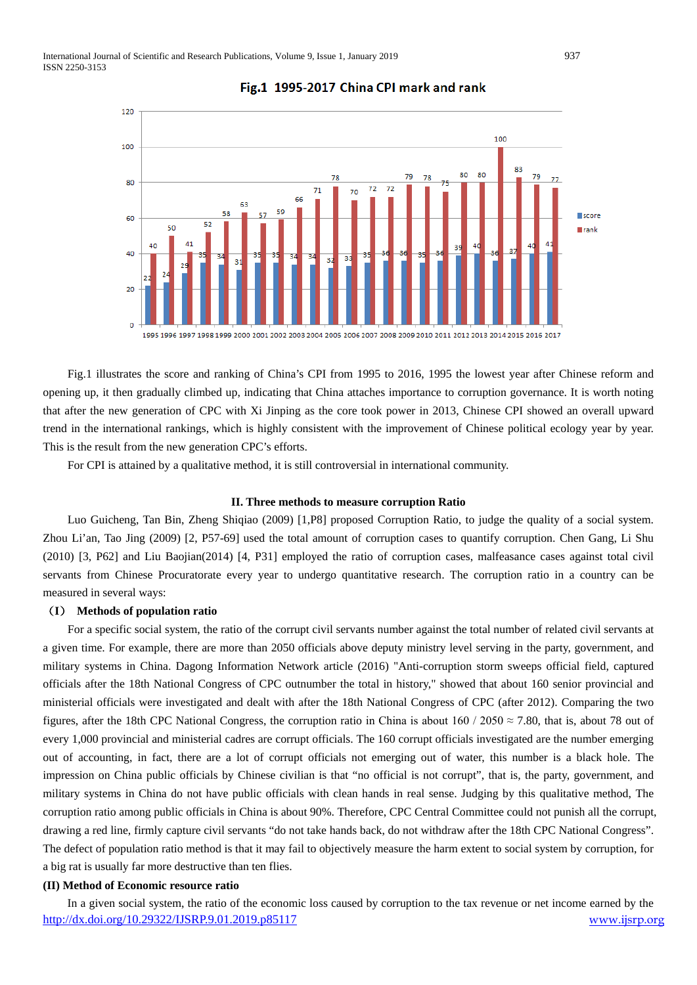

# Fig.1 1995-2017 China CPI mark and rank

Fig.1 illustrates the score and ranking of China's CPI from 1995 to 2016, 1995 the lowest year after Chinese reform and opening up, it then gradually climbed up, indicating that China attaches importance to corruption governance. It is worth noting that after the new generation of CPC with Xi Jinping as the core took power in 2013, Chinese CPI showed an overall upward trend in the international rankings, which is highly consistent with the improvement of Chinese political ecology year by year. This is the result from the new generation CPC's efforts.

For CPI is attained by a qualitative method, it is still controversial in international community.

## **II. Three methods to measure corruption Ratio**

Luo Guicheng, Tan Bin, Zheng Shiqiao (2009) [1,P8] proposed Corruption Ratio, to judge the quality of a social system. Zhou Li'an, Tao Jing (2009) [2, P57-69] used the total amount of corruption cases to quantify corruption. Chen Gang, Li Shu (2010) [3, P62] and Liu Baojian(2014) [4, P31] employed the ratio of corruption cases, malfeasance cases against total civil servants from Chinese Procuratorate every year to undergo quantitative research. The corruption ratio in a country can be measured in several ways:

## (**I**) **Methods of population ratio**

For a specific social system, the ratio of the corrupt civil servants number against the total number of related civil servants at a given time. For example, there are more than 2050 officials above deputy ministry level serving in the party, government, and military systems in China. Dagong Information Network article (2016) "Anti-corruption storm sweeps official field, captured officials after the 18th National Congress of CPC outnumber the total in history," showed that about 160 senior provincial and ministerial officials were investigated and dealt with after the 18th National Congress of CPC (after 2012). Comparing the two figures, after the 18th CPC National Congress, the corruption ratio in China is about 160 / 2050  $\approx$  7.80, that is, about 78 out of every 1,000 provincial and ministerial cadres are corrupt officials. The 160 corrupt officials investigated are the number emerging out of accounting, in fact, there are a lot of corrupt officials not emerging out of water, this number is a black hole. The impression on China public officials by Chinese civilian is that "no official is not corrupt", that is, the party, government, and military systems in China do not have public officials with clean hands in real sense. Judging by this qualitative method, The corruption ratio among public officials in China is about 90%. Therefore, CPC Central Committee could not punish all the corrupt, drawing a red line, firmly capture civil servants "do not take hands back, do not withdraw after the 18th CPC National Congress". The defect of population ratio method is that it may fail to objectively measure the harm extent to social system by corruption, for a big rat is usually far more destructive than ten flies.

## **(II) Method of Economic resource ratio**

<http://dx.doi.org/10.29322/IJSRP.9.01.2019.p85117> [www.ijsrp.org](http://ijsrp.org/) In a given social system, the ratio of the economic loss caused by corruption to the tax revenue or net income earned by the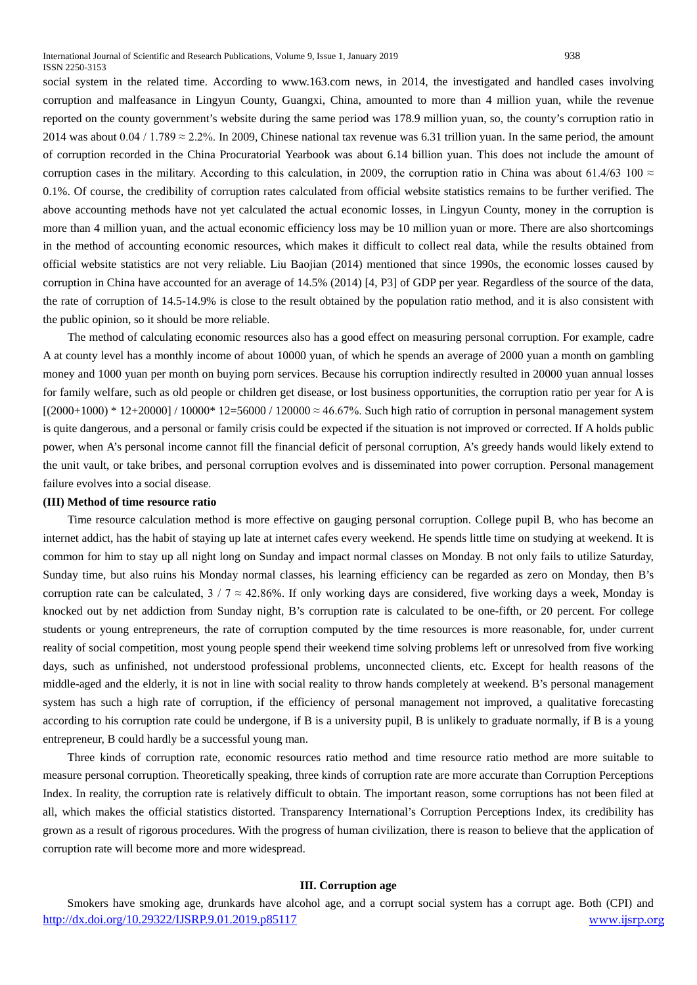social system in the related time. According to www.163.com news, in 2014, the investigated and handled cases involving corruption and malfeasance in Lingyun County, Guangxi, China, amounted to more than 4 million yuan, while the revenue reported on the county government's website during the same period was 178.9 million yuan, so, the county's corruption ratio in 2014 was about 0.04 / 1.789  $\approx$  2.2%. In 2009, Chinese national tax revenue was 6.31 trillion yuan. In the same period, the amount of corruption recorded in the China Procuratorial Yearbook was about 6.14 billion yuan. This does not include the amount of corruption cases in the military. According to this calculation, in 2009, the corruption ratio in China was about 61.4/63 100  $\approx$ 0.1%. Of course, the credibility of corruption rates calculated from official website statistics remains to be further verified. The above accounting methods have not yet calculated the actual economic losses, in Lingyun County, money in the corruption is more than 4 million yuan, and the actual economic efficiency loss may be 10 million yuan or more. There are also shortcomings in the method of accounting economic resources, which makes it difficult to collect real data, while the results obtained from official website statistics are not very reliable. Liu Baojian (2014) mentioned that since 1990s, the economic losses caused by corruption in China have accounted for an average of 14.5% (2014) [4, P3] of GDP per year. Regardless of the source of the data, the rate of corruption of 14.5-14.9% is close to the result obtained by the population ratio method, and it is also consistent with the public opinion, so it should be more reliable.

The method of calculating economic resources also has a good effect on measuring personal corruption. For example, cadre A at county level has a monthly income of about 10000 yuan, of which he spends an average of 2000 yuan a month on gambling money and 1000 yuan per month on buying porn services. Because his corruption indirectly resulted in 20000 yuan annual losses for family welfare, such as old people or children get disease, or lost business opportunities, the corruption ratio per year for A is  $[(2000+1000)*12+20000] / 10000*12=56000 / 120000 \approx 46.67\%$ . Such high ratio of corruption in personal management system is quite dangerous, and a personal or family crisis could be expected if the situation is not improved or corrected. If A holds public power, when A's personal income cannot fill the financial deficit of personal corruption, A's greedy hands would likely extend to the unit vault, or take bribes, and personal corruption evolves and is disseminated into power corruption. Personal management failure evolves into a social disease.

## **(III) Method of time resource ratio**

Time resource calculation method is more effective on gauging personal corruption. College pupil B, who has become an internet addict, has the habit of staying up late at internet cafes every weekend. He spends little time on studying at weekend. It is common for him to stay up all night long on Sunday and impact normal classes on Monday. B not only fails to utilize Saturday, Sunday time, but also ruins his Monday normal classes, his learning efficiency can be regarded as zero on Monday, then B's corruption rate can be calculated,  $3 / 7 \approx 42.86\%$ . If only working days are considered, five working days a week, Monday is knocked out by net addiction from Sunday night, B's corruption rate is calculated to be one-fifth, or 20 percent. For college students or young entrepreneurs, the rate of corruption computed by the time resources is more reasonable, for, under current reality of social competition, most young people spend their weekend time solving problems left or unresolved from five working days, such as unfinished, not understood professional problems, unconnected clients, etc. Except for health reasons of the middle-aged and the elderly, it is not in line with social reality to throw hands completely at weekend. B's personal management system has such a high rate of corruption, if the efficiency of personal management not improved, a qualitative forecasting according to his corruption rate could be undergone, if B is a university pupil, B is unlikely to graduate normally, if B is a young entrepreneur, B could hardly be a successful young man.

Three kinds of corruption rate, economic resources ratio method and time resource ratio method are more suitable to measure personal corruption. Theoretically speaking, three kinds of corruption rate are more accurate than Corruption Perceptions Index. In reality, the corruption rate is relatively difficult to obtain. The important reason, some corruptions has not been filed at all, which makes the official statistics distorted. Transparency International's Corruption Perceptions Index, its credibility has grown as a result of rigorous procedures. With the progress of human civilization, there is reason to believe that the application of corruption rate will become more and more widespread.

## **III. Corruption age**

<http://dx.doi.org/10.29322/IJSRP.9.01.2019.p85117> [www.ijsrp.org](http://ijsrp.org/) Smokers have smoking age, drunkards have alcohol age, and a corrupt social system has a corrupt age. Both (CPI) and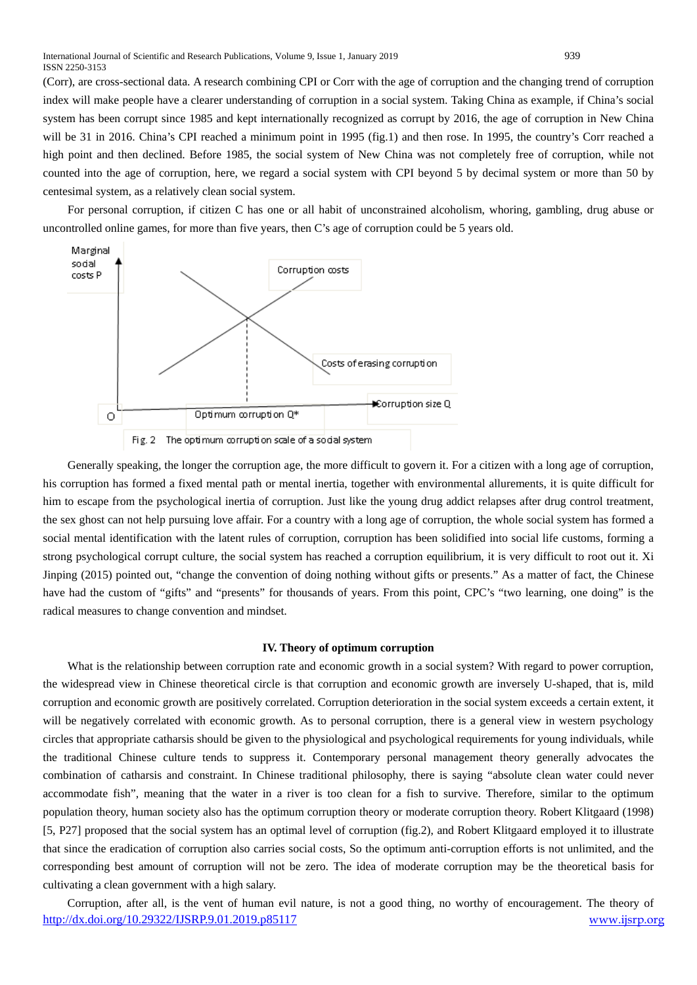(Corr), are cross-sectional data. A research combining CPI or Corr with the age of corruption and the changing trend of corruption index will make people have a clearer understanding of corruption in a social system. Taking China as example, if China's social system has been corrupt since 1985 and kept internationally recognized as corrupt by 2016, the age of corruption in New China will be 31 in 2016. China's CPI reached a minimum point in 1995 (fig.1) and then rose. In 1995, the country's Corr reached a high point and then declined. Before 1985, the social system of New China was not completely free of corruption, while not counted into the age of corruption, here, we regard a social system with CPI beyond 5 by decimal system or more than 50 by centesimal system, as a relatively clean social system.

For personal corruption, if citizen C has one or all habit of unconstrained alcoholism, whoring, gambling, drug abuse or uncontrolled online games, for more than five years, then C's age of corruption could be 5 years old.



Generally speaking, the longer the corruption age, the more difficult to govern it. For a citizen with a long age of corruption, his corruption has formed a fixed mental path or mental inertia, together with environmental allurements, it is quite difficult for him to escape from the psychological inertia of corruption. Just like the young drug addict relapses after drug control treatment, the sex ghost can not help pursuing love affair. For a country with a long age of corruption, the whole social system has formed a social mental identification with the latent rules of corruption, corruption has been solidified into social life customs, forming a strong psychological corrupt culture, the social system has reached a corruption equilibrium, it is very difficult to root out it. Xi Jinping (2015) pointed out, "change the convention of doing nothing without gifts or presents." As a matter of fact, the Chinese have had the custom of "gifts" and "presents" for thousands of years. From this point, CPC's "two learning, one doing" is the radical measures to change convention and mindset.

## **IV. Theory of optimum corruption**

What is the relationship between corruption rate and economic growth in a social system? With regard to power corruption, the widespread view in Chinese theoretical circle is that corruption and economic growth are inversely U-shaped, that is, mild corruption and economic growth are positively correlated. Corruption deterioration in the social system exceeds a certain extent, it will be negatively correlated with economic growth. As to personal corruption, there is a general view in western psychology circles that appropriate catharsis should be given to the physiological and psychological requirements for young individuals, while the traditional Chinese culture tends to suppress it. Contemporary personal management theory generally advocates the combination of catharsis and constraint. In Chinese traditional philosophy, there is saying "absolute clean water could never accommodate fish", meaning that the water in a river is too clean for a fish to survive. Therefore, similar to the optimum population theory, human society also has the optimum corruption theory or moderate corruption theory. Robert Klitgaard (1998) [5, P27] proposed that the social system has an optimal level of corruption (fig.2), and Robert Klitgaard employed it to illustrate that since the eradication of corruption also carries social costs, So the optimum anti-corruption efforts is not unlimited, and the corresponding best amount of corruption will not be zero. The idea of moderate corruption may be the theoretical basis for cultivating a clean government with a high salary.

<http://dx.doi.org/10.29322/IJSRP.9.01.2019.p85117> [www.ijsrp.org](http://ijsrp.org/) Corruption, after all, is the vent of human evil nature, is not a good thing, no worthy of encouragement. The theory of